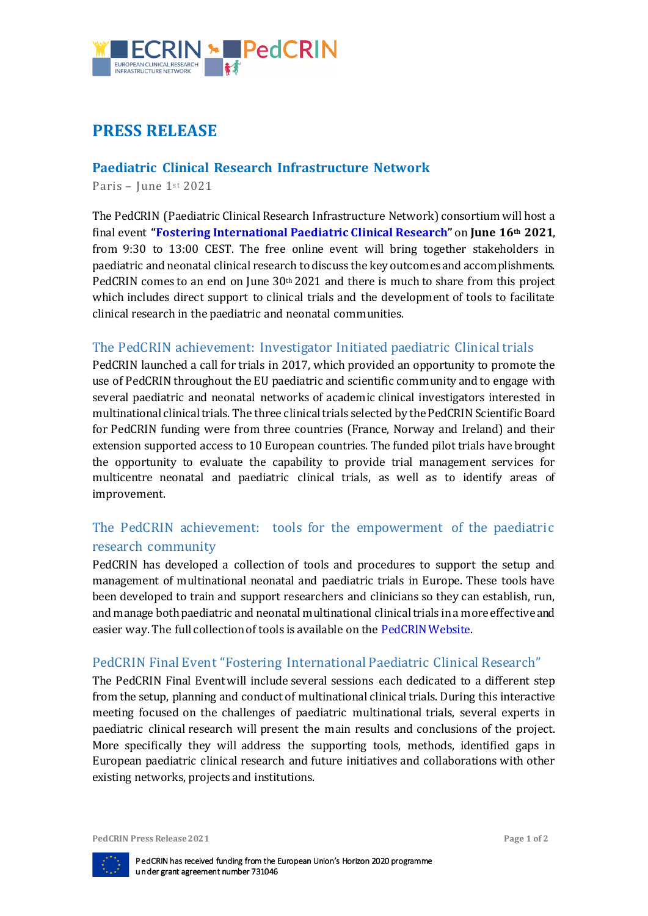

# **PRESS RELEASE**

### **Paediatric Clinical Research Infrastructure Network**

Paris – June 1st 2021

The PedCRIN (Paediatric Clinical Research Infrastructure Network) consortium will host a final event **"[Fostering International Paediatric Clinical Research](https://ecrin.org/projects/pedcrin/paediatric%20final%20event)"** on **June 16th 2021**, from 9:30 to 13:00 CEST. The free online event will bring together stakeholders in paediatric and neonatal clinical research to discuss the key outcomes and accomplishments. PedCRIN comes to an end on June 30th 2021 and there is much to share from this project which includes direct support to clinical trials and the development of tools to facilitate clinical research in the paediatric and neonatal communities.

#### The PedCRIN achievement: Investigator Initiated paediatric Clinical trials

PedCRIN launched a call for trials in 2017, which provided an opportunity to promote the use of PedCRIN throughout the EU paediatric and scientific community and to engage with several paediatric and neonatal networks of academic clinical investigators interested in multinational clinical trials. The three clinical trials selected by the PedCRIN Scientific Board for PedCRIN funding were from three countries (France, Norway and Ireland) and their extension supported access to 10 European countries. The funded pilot trials have brought the opportunity to evaluate the capability to provide trial management services for multicentre neonatal and paediatric clinical trials, as well as to identify areas of improvement.

### The PedCRIN achievement: tools for the empowerment of the paediatric research community

PedCRIN has developed a collection of tools and procedures to support the setup and management of multinational neonatal and paediatric trials in Europe. These tools have been developed to train and support researchers and clinicians so they can establish, run, and manage both paediatric and neonatal multinational clinical trials in a more effective and easier way. The full collection of tools is available on the [PedCRIN Website.](http://www.pedcrin.org/)

#### PedCRIN Final Event "Fostering International Paediatric Clinical Research"

The PedCRIN Final Eventwill include several sessions each dedicated to a different step from the setup, planning and conduct of multinational clinical trials. During this interactive meeting focused on the challenges of paediatric multinational trials, several experts in paediatric clinical research will present the main results and conclusions of the project. More specifically they will address the supporting tools, methods, identified gaps in European paediatric clinical research and future initiatives and collaborations with other existing networks, projects and institutions.

**PedCRIN** Press Release 2021 **Page 1** of 2